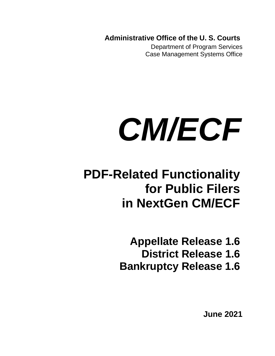**Administrative Office of the U. S. Courts**

Department of Program Services Case Management Systems Office

# *CM/ECF*

# **PDF-Related Functionality for Public Filers in NextGen CM/ECF**

**Appellate Release 1.6 District Release 1.6 Bankruptcy Release 1.6**

**June 2021**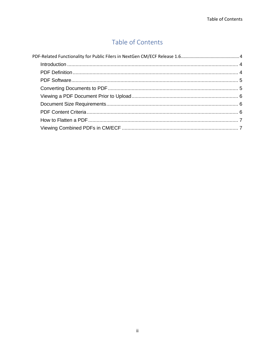### Table of Contents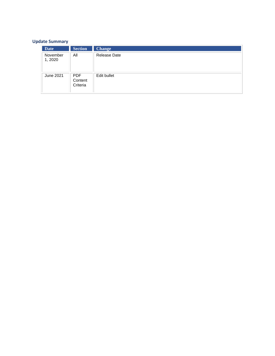#### **Update Summary**

| <b>Date</b>         | <b>Section</b>                    | <b>Change</b>       |
|---------------------|-----------------------------------|---------------------|
| November<br>1, 2020 | All                               | <b>Release Date</b> |
| June 2021           | <b>PDF</b><br>Content<br>Criteria | Edit bullet         |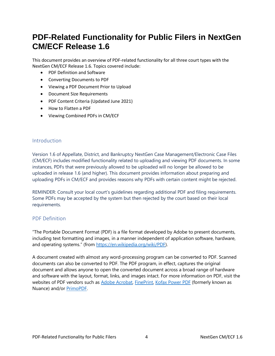## <span id="page-3-0"></span>**PDF-Related Functionality for Public Filers in NextGen CM/ECF Release 1.6**

This document provides an overview of PDF-related functionality for all three court types with the NextGen CM/ECF Release 1.6. Topics covered include:

- PDF Definition and Software
- Converting Documents to PDF
- Viewing a PDF Document Prior to Upload
- Document Size Requirements
- PDF Content Criteria (Updated June 2021)
- How to Flatten a PDF
- Viewing Combined PDFs in CM/ECF

#### <span id="page-3-1"></span>Introduction

Version 1.6 of Appellate, District, and Bankruptcy NextGen Case Management/Electronic Case Files (CM/ECF) includes modified functionality related to uploading and viewing PDF documents. In some instances, PDFs that were previously allowed to be uploaded will no longer be allowed to be uploaded in release 1.6 (and higher). This document provides information about preparing and uploading PDFs in CM/ECF and provides reasons why PDFs with certain content might be rejected.

REMINDER: Consult your local court's guidelines regarding additional PDF and filing requirements. Some PDFs may be accepted by the system but then rejected by the court based on their local requirements.

#### <span id="page-3-2"></span>PDF Definition

"The Portable Document Format (PDF) is a file format developed by Adobe to present documents, including text formatting and images, in a manner independent of application software, hardware, and operating systems." (from [https://en.wikipedia.org/wiki/PDF\)](https://en.wikipedia.org/wiki/PDF).

A document created with almost any word-processing program can be converted to PDF. Scanned documents can also be converted to PDF. The PDF program, in effect, captures the original document and allows anyone to open the converted document across a broad range of hardware and software with the layout, format, links, and images intact. For more information on PDF, visit the websites of PDF vendors such a[s Adobe Acrobat,](https://acrobat.adobe.com/us/en/acrobat.html) [FinePrint,](https://fineprint.com/) [Kofax Power PDF](https://www.kofax.com/Products/power-pdf) (formerly known as Nuance) and/or [PrimoPDF.](https://www.primopdf.com/)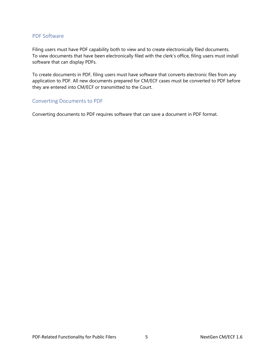#### <span id="page-4-0"></span>PDF Software

Filing users must have PDF capability both to view and to create electronically filed documents. To view documents that have been electronically filed with the clerk's office, filing users must install software that can display PDFs.

To create documents in PDF, filing users must have software that converts electronic files from any application to PDF. All new documents prepared for CM/ECF cases must be converted to PDF before they are entered into CM/ECF or transmitted to the Court.

#### <span id="page-4-1"></span>Converting Documents to PDF

Converting documents to PDF requires software that can save a document in PDF format.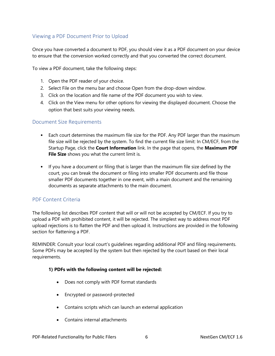#### <span id="page-5-0"></span>Viewing a PDF Document Prior to Upload

Once you have converted a document to PDF, you should view it as a PDF document on your device to ensure that the conversion worked correctly and that you converted the correct document.

To view a PDF document, take the following steps:

- 1. Open the PDF reader of your choice.
- 2. Select File on the menu bar and choose Open from the drop-down window.
- 3. Click on the location and file name of the PDF document you wish to view.
- 4. Click on the View menu for other options for viewing the displayed document. Choose the option that best suits your viewing needs.

#### <span id="page-5-1"></span>Document Size Requirements

- Each court determines the maximum file size for the PDF. Any PDF larger than the maximum file size will be rejected by the system. To find the current file size limit: In CM/ECF, from the Startup Page, click the **Court Information** link. In the page that opens, the **Maximum PDF File Size** shows you what the current limit is.
- If you have a document or filing that is larger than the maximum file size defined by the court, you can break the document or filing into smaller PDF documents and file those smaller PDF documents together in one event, with a main document and the remaining documents as separate attachments to the main document.

#### <span id="page-5-2"></span>PDF Content Criteria

The following list describes PDF content that will or will not be accepted by CM/ECF. If you try to upload a PDF with prohibited content, it will be rejected. The simplest way to address most PDF upload rejections is to flatten the PDF and then upload it. Instructions are provided in the following section for flattening a PDF.

REMINDER: Consult your local court's guidelines regarding additional PDF and filing requirements. Some PDFs may be accepted by the system but then rejected by the court based on their local requirements.

#### **1) PDFs with the following content will be rejected:**

- Does not comply with PDF format standards
- Encrypted or password-protected
- Contains scripts which can launch an external application
- Contains internal attachments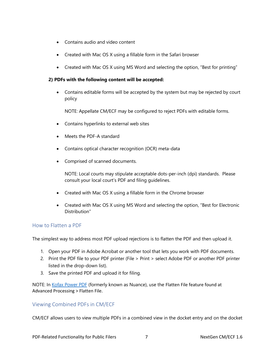- Contains audio and video content
- Created with Mac OS X using a fillable form in the Safari browser
- Created with Mac OS X using MS Word and selecting the option, "Best for printing"

#### **2) PDFs with the following content will be accepted:**

• Contains editable forms will be accepted by the system but may be rejected by court policy

NOTE: Appellate CM/ECF may be configured to reject PDFs with editable forms.

- Contains hyperlinks to external web sites
- Meets the PDF-A standard
- Contains optical character recognition (OCR) meta-data
- Comprised of scanned documents.

NOTE: Local courts may stipulate acceptable dots-per-inch (dpi) standards. Please consult your local court's PDF and filing guidelines.

- Created with Mac OS X using a fillable form in the Chrome browser
- Created with Mac OS X using MS Word and selecting the option, "Best for Electronic Distribution"

#### <span id="page-6-0"></span>How to Flatten a PDF

The simplest way to address most PDF upload rejections is to flatten the PDF and then upload it.

- 1. Open your PDF in Adobe Acrobat or another tool that lets you work with PDF documents.
- 2. Print the PDF file to your PDF printer (File > Print > select Adobe PDF or another PDF printer listed in the drop-down list).
- 3. Save the printed PDF and upload it for filing.

NOTE: In [Kofax Power PDF](https://www.kofax.com/Products/power-pdf) (formerly known as Nuance), use the Flatten File feature found at Advanced Processing > Flatten File.

#### <span id="page-6-1"></span>Viewing Combined PDFs in CM/ECF

CM/ECF allows users to view multiple PDFs in a combined view in the docket entry and on the docket